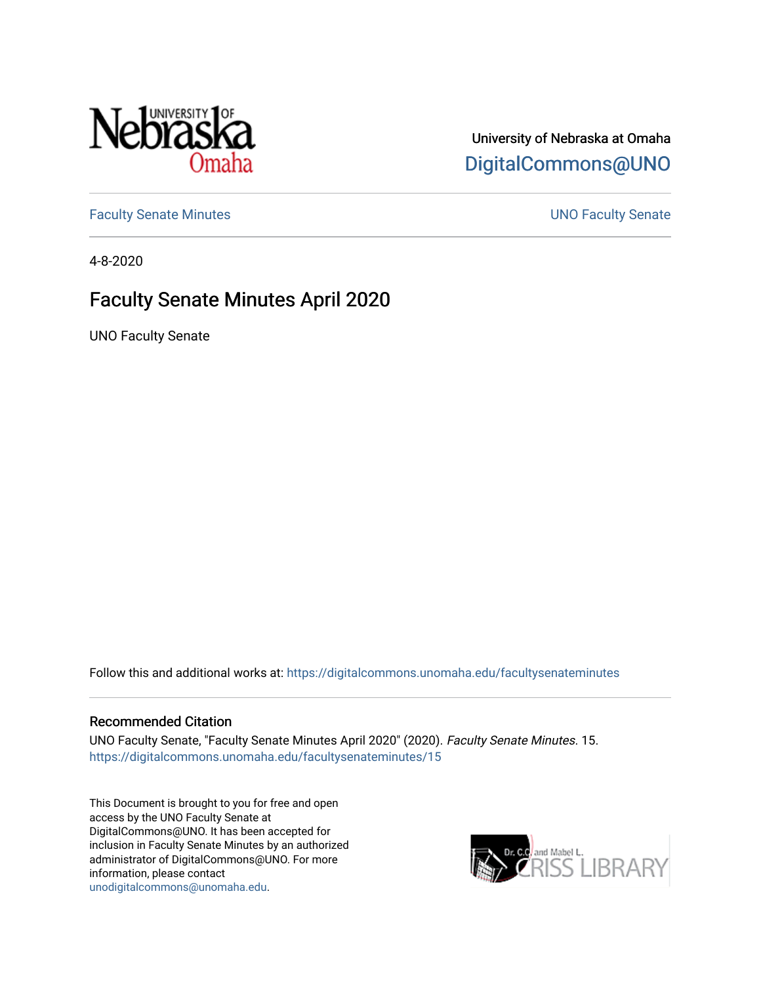

## University of Nebraska at Omaha [DigitalCommons@UNO](https://digitalcommons.unomaha.edu/)

[Faculty Senate Minutes](https://digitalcommons.unomaha.edu/facultysenateminutes) **Example 2018** UNO Faculty Senate

4-8-2020

# Faculty Senate Minutes April 2020

UNO Faculty Senate

Follow this and additional works at: [https://digitalcommons.unomaha.edu/facultysenateminutes](https://digitalcommons.unomaha.edu/facultysenateminutes?utm_source=digitalcommons.unomaha.edu%2Ffacultysenateminutes%2F15&utm_medium=PDF&utm_campaign=PDFCoverPages) 

#### Recommended Citation

UNO Faculty Senate, "Faculty Senate Minutes April 2020" (2020). Faculty Senate Minutes. 15. [https://digitalcommons.unomaha.edu/facultysenateminutes/15](https://digitalcommons.unomaha.edu/facultysenateminutes/15?utm_source=digitalcommons.unomaha.edu%2Ffacultysenateminutes%2F15&utm_medium=PDF&utm_campaign=PDFCoverPages) 

This Document is brought to you for free and open access by the UNO Faculty Senate at DigitalCommons@UNO. It has been accepted for inclusion in Faculty Senate Minutes by an authorized administrator of DigitalCommons@UNO. For more information, please contact [unodigitalcommons@unomaha.edu.](mailto:unodigitalcommons@unomaha.edu)

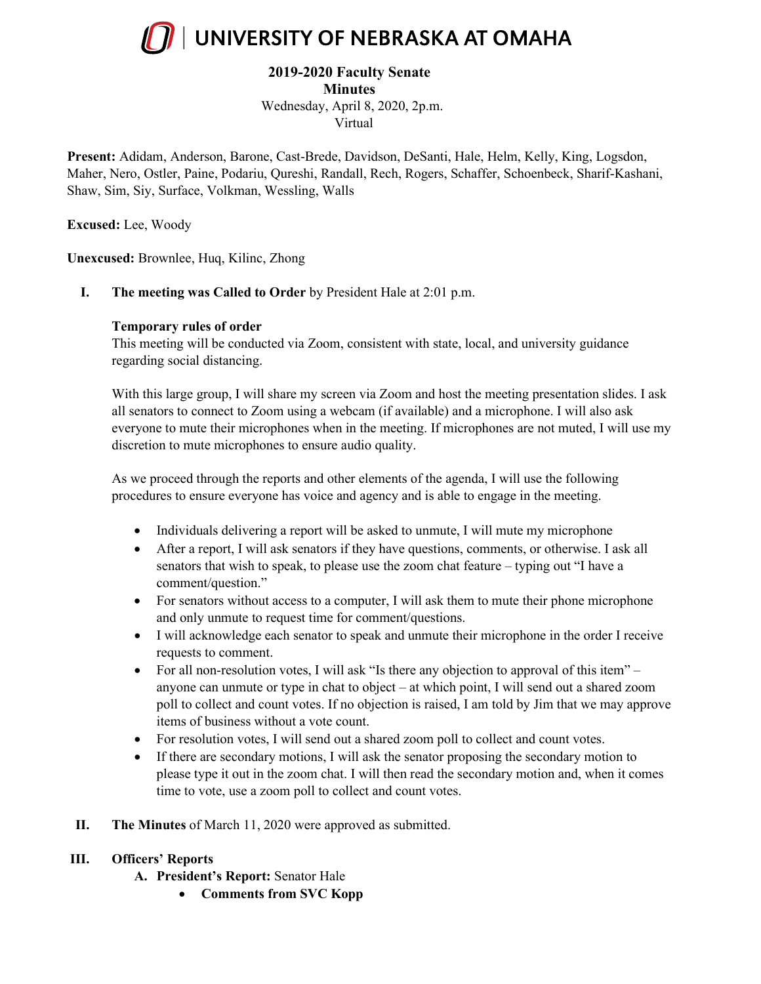

## **2019-2020 Faculty Senate**

**Minutes**

Wednesday, April 8, 2020, 2p.m. Virtual

**Present:** Adidam, Anderson, Barone, Cast-Brede, Davidson, DeSanti, Hale, Helm, Kelly, King, Logsdon, Maher, Nero, Ostler, Paine, Podariu, Qureshi, Randall, Rech, Rogers, Schaffer, Schoenbeck, Sharif-Kashani, Shaw, Sim, Siy, Surface, Volkman, Wessling, Walls

**Excused:** Lee, Woody

**Unexcused:** Brownlee, Huq, Kilinc, Zhong

**I. The meeting was Called to Order** by President Hale at 2:01 p.m.

### **Temporary rules of order**

This meeting will be conducted via Zoom, consistent with state, local, and university guidance regarding social distancing.

With this large group, I will share my screen via Zoom and host the meeting presentation slides. I ask all senators to connect to Zoom using a webcam (if available) and a microphone. I will also ask everyone to mute their microphones when in the meeting. If microphones are not muted, I will use my discretion to mute microphones to ensure audio quality.

As we proceed through the reports and other elements of the agenda, I will use the following procedures to ensure everyone has voice and agency and is able to engage in the meeting.

- Individuals delivering a report will be asked to unmute, I will mute my microphone
- After a report, I will ask senators if they have questions, comments, or otherwise. I ask all senators that wish to speak, to please use the zoom chat feature – typing out "I have a comment/question."
- For senators without access to a computer, I will ask them to mute their phone microphone and only unmute to request time for comment/questions.
- I will acknowledge each senator to speak and unmute their microphone in the order I receive requests to comment.
- For all non-resolution votes, I will ask "Is there any objection to approval of this item" anyone can unmute or type in chat to object – at which point, I will send out a shared zoom poll to collect and count votes. If no objection is raised, I am told by Jim that we may approve items of business without a vote count.
- For resolution votes, I will send out a shared zoom poll to collect and count votes.
- If there are secondary motions, I will ask the senator proposing the secondary motion to please type it out in the zoom chat. I will then read the secondary motion and, when it comes time to vote, use a zoom poll to collect and count votes.
- **II. The Minutes** of March 11, 2020 were approved as submitted.

## **III. Officers' Reports**

- **A. President's Report:** Senator Hale
	- **Comments from SVC Kopp**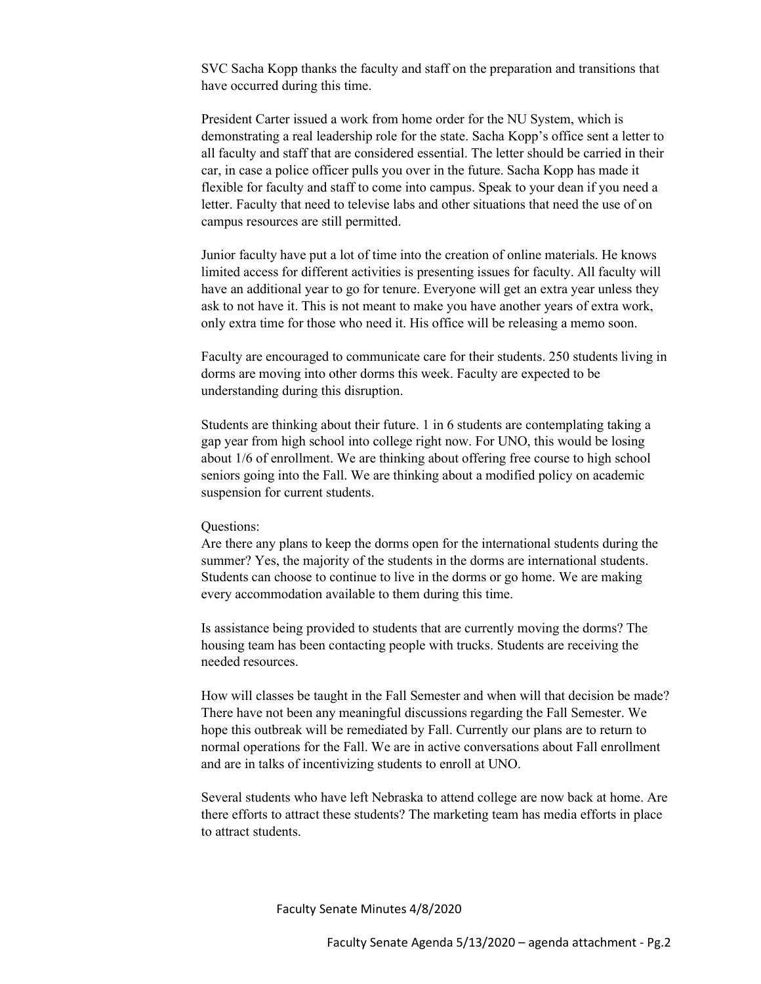SVC Sacha Kopp thanks the faculty and staff on the preparation and transitions that have occurred during this time.

President Carter issued a work from home order for the NU System, which is demonstrating a real leadership role for the state. Sacha Kopp's office sent a letter to all faculty and staff that are considered essential. The letter should be carried in their car, in case a police officer pulls you over in the future. Sacha Kopp has made it flexible for faculty and staff to come into campus. Speak to your dean if you need a letter. Faculty that need to televise labs and other situations that need the use of on campus resources are still permitted.

Junior faculty have put a lot of time into the creation of online materials. He knows limited access for different activities is presenting issues for faculty. All faculty will have an additional year to go for tenure. Everyone will get an extra year unless they ask to not have it. This is not meant to make you have another years of extra work, only extra time for those who need it. His office will be releasing a memo soon.

Faculty are encouraged to communicate care for their students. 250 students living in dorms are moving into other dorms this week. Faculty are expected to be understanding during this disruption.

Students are thinking about their future. 1 in 6 students are contemplating taking a gap year from high school into college right now. For UNO, this would be losing about 1/6 of enrollment. We are thinking about offering free course to high school seniors going into the Fall. We are thinking about a modified policy on academic suspension for current students.

#### Questions:

Are there any plans to keep the dorms open for the international students during the summer? Yes, the majority of the students in the dorms are international students. Students can choose to continue to live in the dorms or go home. We are making every accommodation available to them during this time.

Is assistance being provided to students that are currently moving the dorms? The housing team has been contacting people with trucks. Students are receiving the needed resources.

How will classes be taught in the Fall Semester and when will that decision be made? There have not been any meaningful discussions regarding the Fall Semester. We hope this outbreak will be remediated by Fall. Currently our plans are to return to normal operations for the Fall. We are in active conversations about Fall enrollment and are in talks of incentivizing students to enroll at UNO.

Several students who have left Nebraska to attend college are now back at home. Are there efforts to attract these students? The marketing team has media efforts in place to attract students.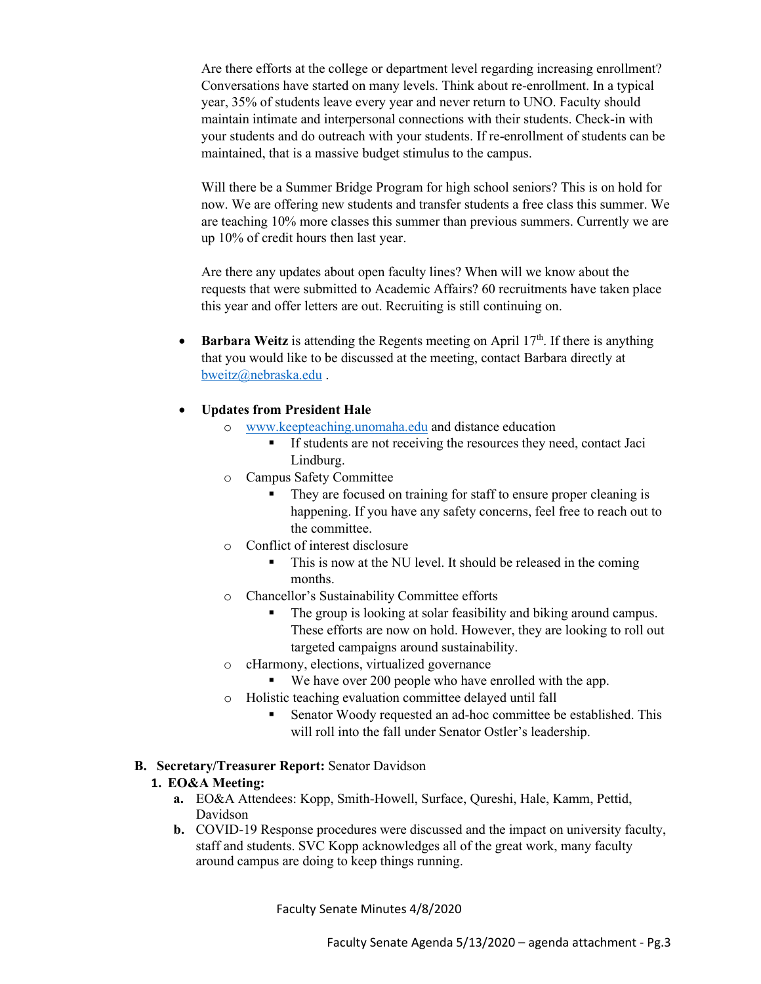Are there efforts at the college or department level regarding increasing enrollment? Conversations have started on many levels. Think about re-enrollment. In a typical year, 35% of students leave every year and never return to UNO. Faculty should maintain intimate and interpersonal connections with their students. Check-in with your students and do outreach with your students. If re-enrollment of students can be maintained, that is a massive budget stimulus to the campus.

Will there be a Summer Bridge Program for high school seniors? This is on hold for now. We are offering new students and transfer students a free class this summer. We are teaching 10% more classes this summer than previous summers. Currently we are up 10% of credit hours then last year.

Are there any updates about open faculty lines? When will we know about the requests that were submitted to Academic Affairs? 60 recruitments have taken place this year and offer letters are out. Recruiting is still continuing on.

**Barbara Weitz** is attending the Regents meeting on April 17<sup>th</sup>. If there is anything that you would like to be discussed at the meeting, contact Barbara directly at [bweitz@nebraska.edu](mailto:bweitz@nebraska.edu) .

### • **Updates from President Hale**

- o [www.keepteaching.unomaha.edu](http://www.keepteaching.unomaha.edu/) and distance education
	- If students are not receiving the resources they need, contact Jaci Lindburg.
- o Campus Safety Committee
	- They are focused on training for staff to ensure proper cleaning is happening. If you have any safety concerns, feel free to reach out to the committee.
- o Conflict of interest disclosure
	- This is now at the NU level. It should be released in the coming months.
- o Chancellor's Sustainability Committee efforts
	- The group is looking at solar feasibility and biking around campus. These efforts are now on hold. However, they are looking to roll out targeted campaigns around sustainability.
- o cHarmony, elections, virtualized governance
	- We have over 200 people who have enrolled with the app.
- o Holistic teaching evaluation committee delayed until fall
	- Senator Woody requested an ad-hoc committee be established. This will roll into the fall under Senator Ostler's leadership.

#### **B. Secretary/Treasurer Report:** Senator Davidson

## **1. EO&A Meeting:**

- **a.** EO&A Attendees: Kopp, Smith-Howell, Surface, Qureshi, Hale, Kamm, Pettid, Davidson
- **b.** COVID-19 Response procedures were discussed and the impact on university faculty, staff and students. SVC Kopp acknowledges all of the great work, many faculty around campus are doing to keep things running.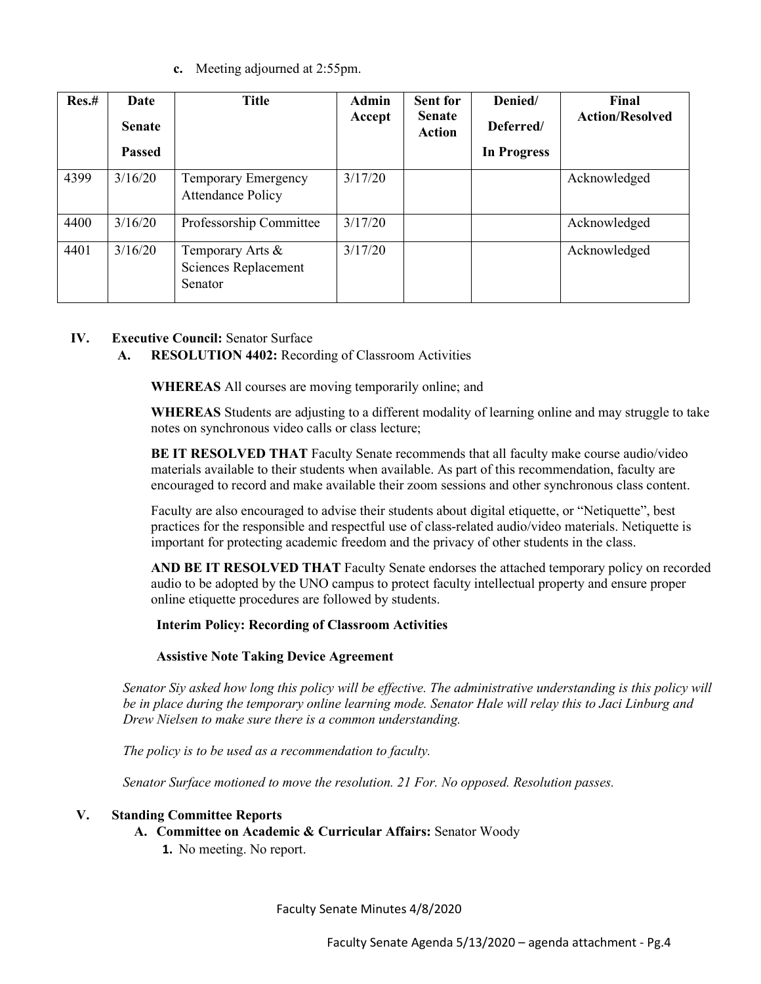**c.** Meeting adjourned at 2:55pm.

| Res.# | Date<br><b>Senate</b> | <b>Title</b>                                           | <b>Admin</b><br>Accept | <b>Sent for</b><br><b>Senate</b><br><b>Action</b> | Denied/<br>Deferred/ | Final<br><b>Action/Resolved</b> |
|-------|-----------------------|--------------------------------------------------------|------------------------|---------------------------------------------------|----------------------|---------------------------------|
|       | <b>Passed</b>         |                                                        |                        |                                                   | <b>In Progress</b>   |                                 |
| 4399  | 3/16/20               | <b>Temporary Emergency</b><br><b>Attendance Policy</b> | 3/17/20                |                                                   |                      | Acknowledged                    |
| 4400  | 3/16/20               | Professorship Committee                                | 3/17/20                |                                                   |                      | Acknowledged                    |
| 4401  | 3/16/20               | Temporary Arts &<br>Sciences Replacement<br>Senator    | 3/17/20                |                                                   |                      | Acknowledged                    |

## **IV. Executive Council:** Senator Surface

## **A. RESOLUTION 4402:** Recording of Classroom Activities

**WHEREAS** All courses are moving temporarily online; and

**WHEREAS** Students are adjusting to a different modality of learning online and may struggle to take notes on synchronous video calls or class lecture;

**BE IT RESOLVED THAT** Faculty Senate recommends that all faculty make course audio/video materials available to their students when available. As part of this recommendation, faculty are encouraged to record and make available their zoom sessions and other synchronous class content.

Faculty are also encouraged to advise their students about digital etiquette, or "Netiquette", best practices for the responsible and respectful use of class-related audio/video materials. Netiquette is important for protecting academic freedom and the privacy of other students in the class.

**AND BE IT RESOLVED THAT** Faculty Senate endorses the attached temporary policy on recorded audio to be adopted by the UNO campus to protect faculty intellectual property and ensure proper online etiquette procedures are followed by students.

## **Interim Policy: Recording of Classroom Activities**

#### **Assistive Note Taking Device Agreement**

*Senator Siy asked how long this policy will be effective. The administrative understanding is this policy will be in place during the temporary online learning mode. Senator Hale will relay this to Jaci Linburg and Drew Nielsen to make sure there is a common understanding.* 

*The policy is to be used as a recommendation to faculty.* 

*Senator Surface motioned to move the resolution. 21 For. No opposed. Resolution passes.* 

#### **V. Standing Committee Reports**

- **A. Committee on Academic & Curricular Affairs:** Senator Woody
	- **1.** No meeting. No report.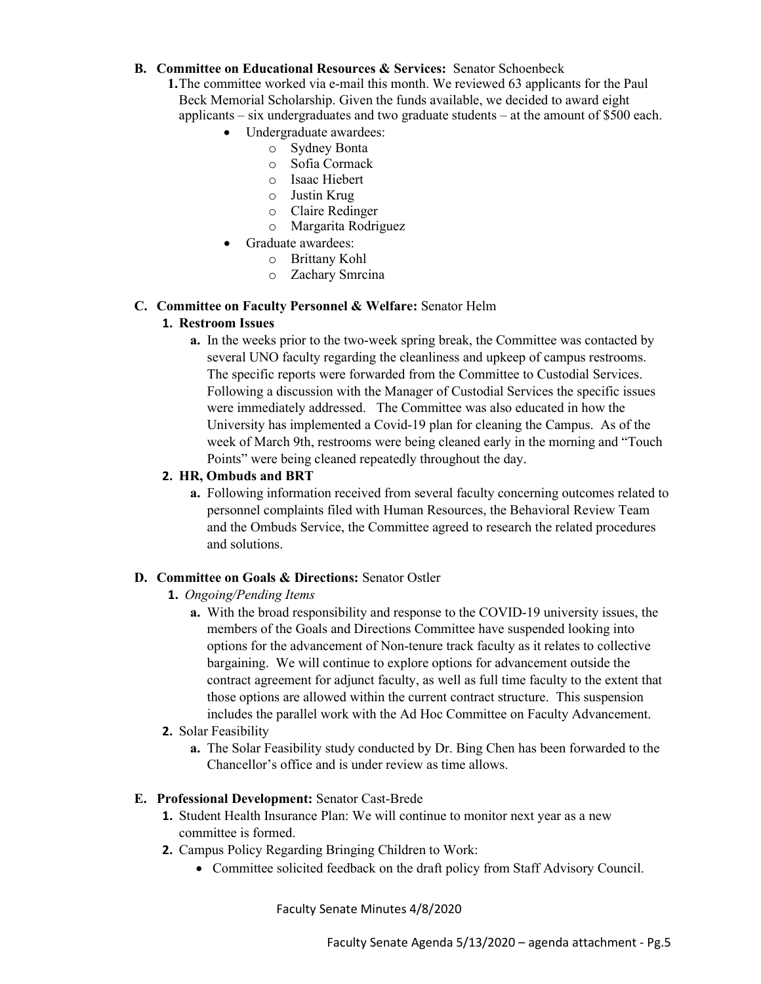### **B. Committee on Educational Resources & Services:** Senator Schoenbeck

- **1.**The committee worked via e-mail this month. We reviewed 63 applicants for the Paul Beck Memorial Scholarship. Given the funds available, we decided to award eight applicants – six undergraduates and two graduate students – at the amount of \$500 each.
	- Undergraduate awardees:
		- o Sydney Bonta
		- o Sofia Cormack
		- o Isaac Hiebert
		- o Justin Krug
		- o Claire Redinger
		- o Margarita Rodriguez
	- Graduate awardees:
		- o Brittany Kohl
		- o Zachary Smrcina

#### **C. Committee on Faculty Personnel & Welfare:** Senator Helm

### **1. Restroom Issues**

**a.** In the weeks prior to the two-week spring break, the Committee was contacted by several UNO faculty regarding the cleanliness and upkeep of campus restrooms. The specific reports were forwarded from the Committee to Custodial Services. Following a discussion with the Manager of Custodial Services the specific issues were immediately addressed. The Committee was also educated in how the University has implemented a Covid-19 plan for cleaning the Campus. As of the week of March 9th, restrooms were being cleaned early in the morning and "Touch Points" were being cleaned repeatedly throughout the day.

### **2. HR, Ombuds and BRT**

**a.** Following information received from several faculty concerning outcomes related to personnel complaints filed with Human Resources, the Behavioral Review Team and the Ombuds Service, the Committee agreed to research the related procedures and solutions.

#### **D. Committee on Goals & Directions:** Senator Ostler

- **1.** *Ongoing/Pending Items*
	- **a.** With the broad responsibility and response to the COVID-19 university issues, the members of the Goals and Directions Committee have suspended looking into options for the advancement of Non-tenure track faculty as it relates to collective bargaining. We will continue to explore options for advancement outside the contract agreement for adjunct faculty, as well as full time faculty to the extent that those options are allowed within the current contract structure. This suspension includes the parallel work with the Ad Hoc Committee on Faculty Advancement.

#### **2.** Solar Feasibility

**a.** The Solar Feasibility study conducted by Dr. Bing Chen has been forwarded to the Chancellor's office and is under review as time allows.

#### **E. Professional Development:** Senator Cast-Brede

- **1.** Student Health Insurance Plan: We will continue to monitor next year as a new committee is formed.
- **2.** Campus Policy Regarding Bringing Children to Work:
	- Committee solicited feedback on the draft policy from Staff Advisory Council.